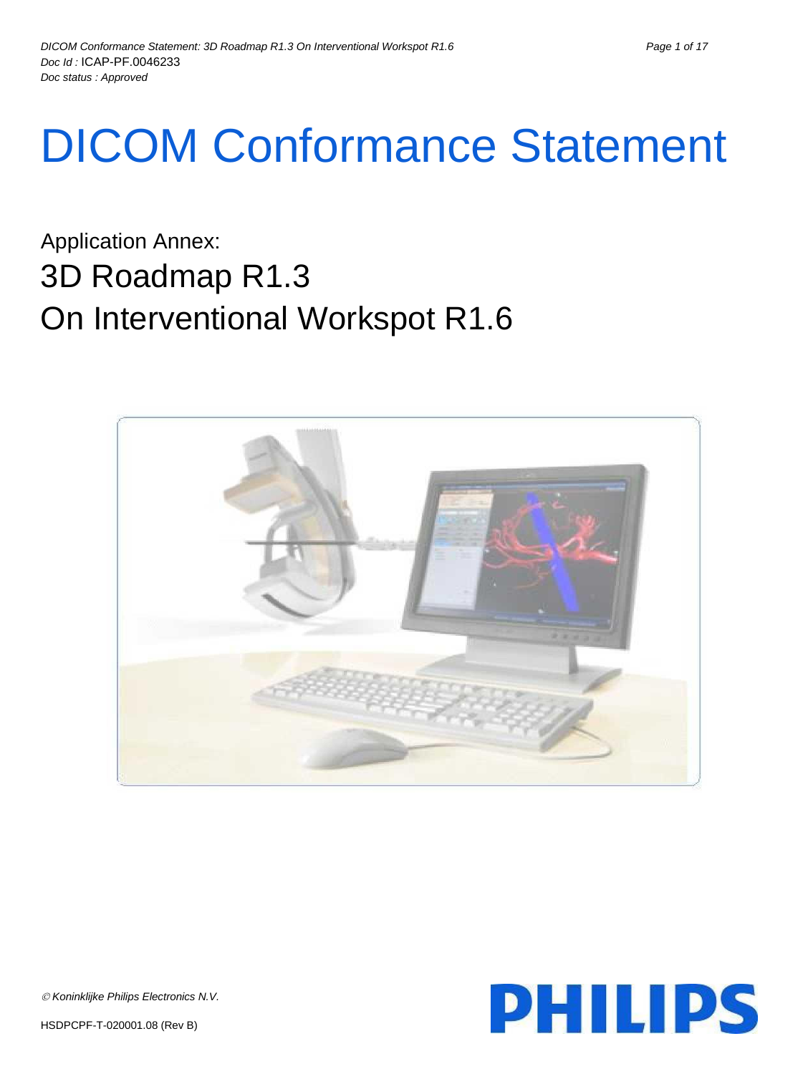# DICOM Conformance Statement

Application Annex: 3D Roadmap R1.3 On Interventional Workspot R1.6



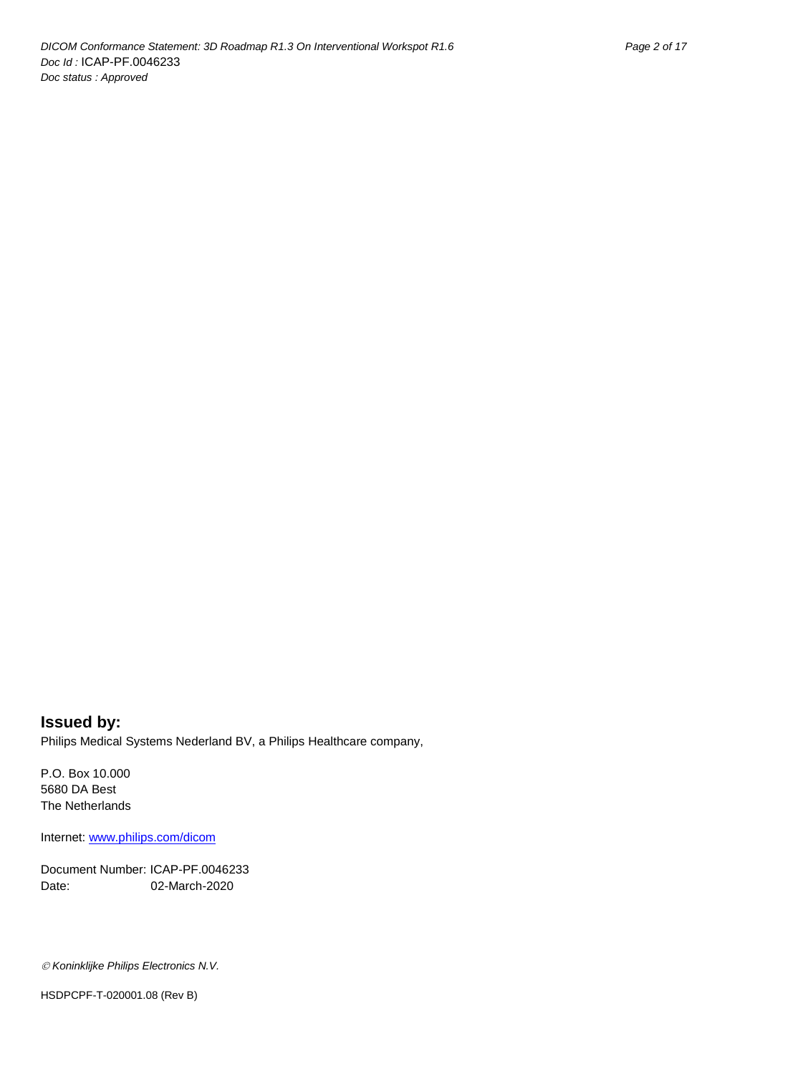**Issued by:** Philips Medical Systems Nederland BV, a Philips Healthcare company,

P.O. Box 10.000 5680 DA Best The Netherlands

Internet: www.philips.com/dicom

Document Number: ICAP-PF.0046233 Date: 02-March-2020

*Koninklijke Philips Electronics N.V.*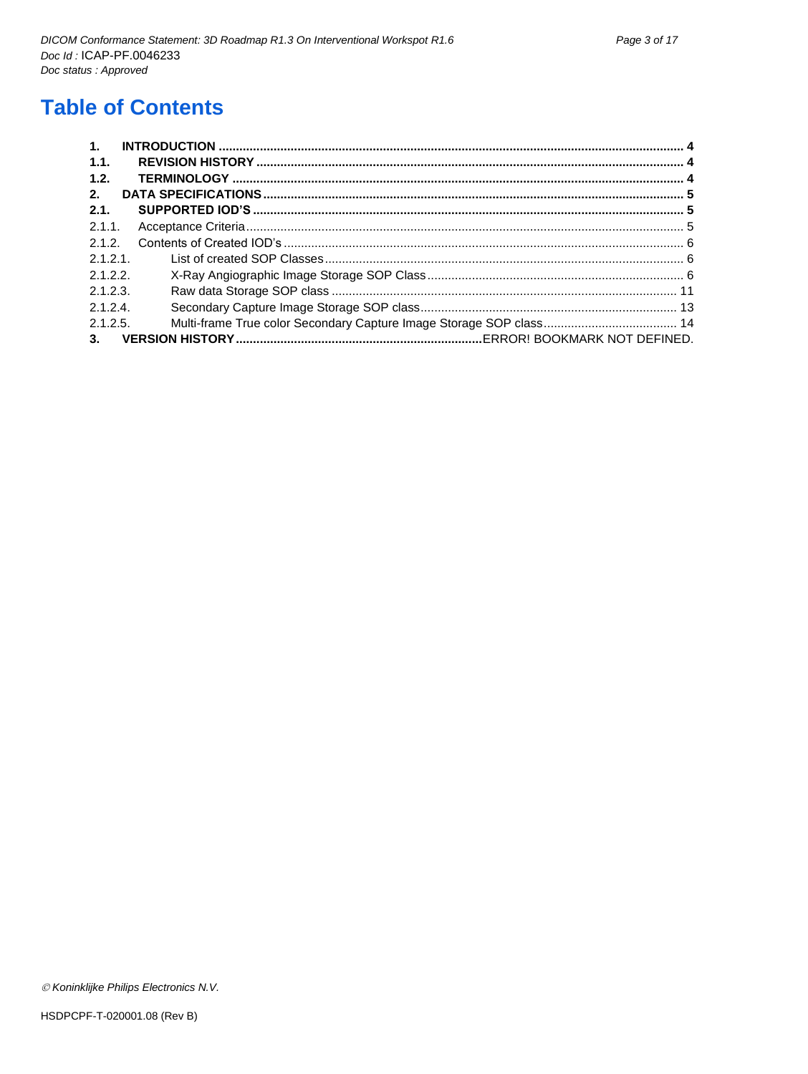## **Table of Contents**

| 1.       |  |
|----------|--|
| 1.1.     |  |
| 1.2.     |  |
| 2.       |  |
| 2.1.     |  |
| 2.1.1.   |  |
| $212$    |  |
| 2.1.2.1  |  |
| 2.1.2.2  |  |
| 2.1.2.3. |  |
| 2.1.2.4. |  |
| 2.1.2.5. |  |
| 3.       |  |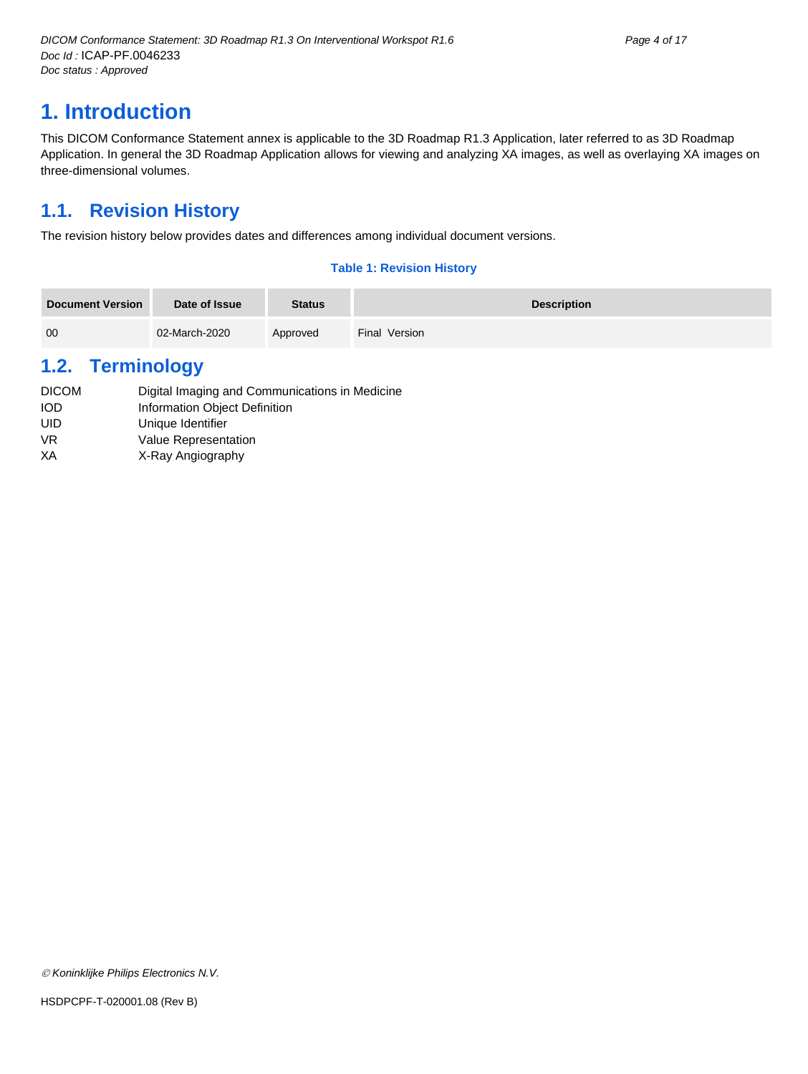## <span id="page-3-0"></span>**1. Introduction**

This DICOM Conformance Statement annex is applicable to the 3D Roadmap R1.3 Application, later referred to as 3D Roadmap Application. In general the 3D Roadmap Application allows for viewing and analyzing XA images, as well as overlaying XA images on three-dimensional volumes.

## <span id="page-3-1"></span>**1.1. Revision History**

The revision history below provides dates and differences among individual document versions.

#### **Table 1: Revision History**

| <b>Document Version</b> | Date of Issue | <b>Status</b> | <b>Description</b> |
|-------------------------|---------------|---------------|--------------------|
| 00                      | 02-March-2020 | Approved      | Final Version      |

## <span id="page-3-2"></span>**1.2. Terminology**

- DICOM Digital Imaging and Communications in Medicine IOD Information Object Definition
- UID Unique Identifier
- VR Value Representation
- XA X-Ray Angiography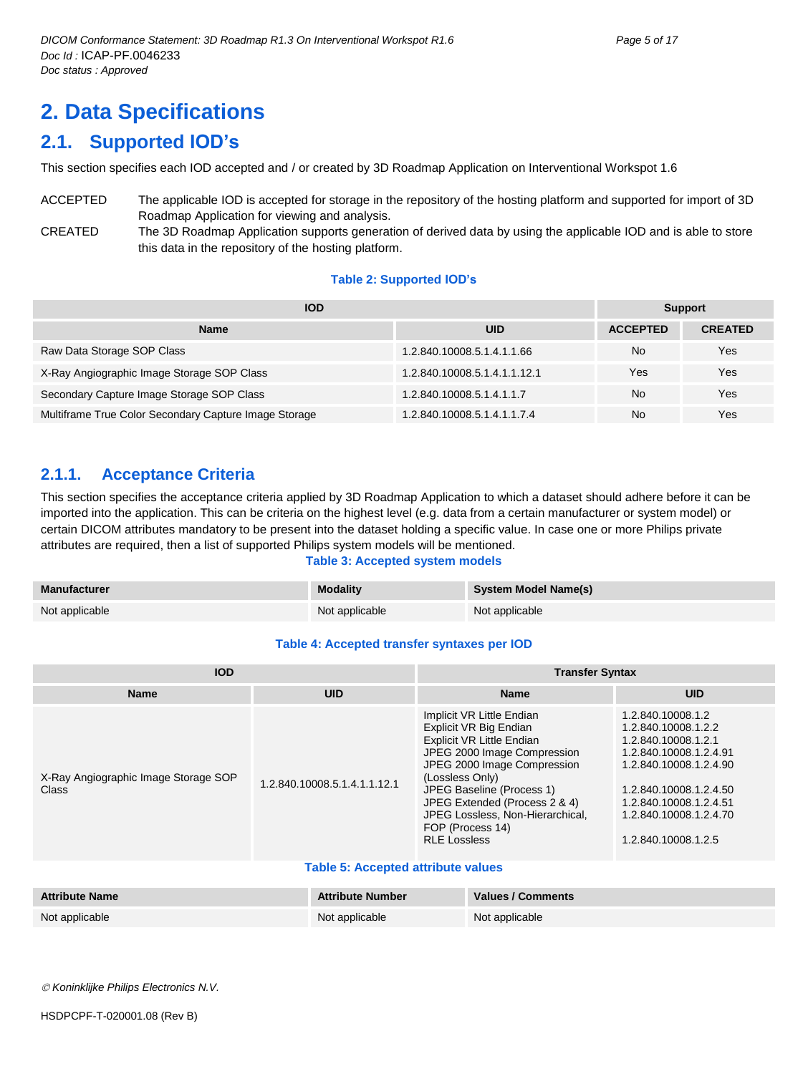## <span id="page-4-0"></span>**2. Data Specifications**

## <span id="page-4-1"></span>**2.1. Supported IOD's**

This section specifies each IOD accepted and / or created by 3D Roadmap Application on Interventional Workspot 1.6

ACCEPTED The applicable IOD is accepted for storage in the repository of the hosting platform and supported for import of 3D Roadmap Application for viewing and analysis. CREATED The 3D Roadmap Application supports generation of derived data by using the applicable IOD and is able to store

this data in the repository of the hosting platform.

#### **Table 2: Supported IOD's**

| <b>IOD</b>                                            | <b>Support</b>               |                 |                |
|-------------------------------------------------------|------------------------------|-----------------|----------------|
| <b>Name</b>                                           | <b>UID</b>                   | <b>ACCEPTED</b> | <b>CREATED</b> |
| Raw Data Storage SOP Class                            | 1.2.840.10008.5.1.4.1.1.66   | No              | Yes            |
| X-Ray Angiographic Image Storage SOP Class            | 1.2.840.10008.5.1.4.1.1.12.1 | Yes             | Yes            |
| Secondary Capture Image Storage SOP Class             | 1.2.840.10008.5.1.4.1.1.7    | No              | Yes            |
| Multiframe True Color Secondary Capture Image Storage | 1.2.840.10008.5.1.4.1.1.7.4  | No              | Yes            |

### <span id="page-4-2"></span>**2.1.1. Acceptance Criteria**

This section specifies the acceptance criteria applied by 3D Roadmap Application to which a dataset should adhere before it can be imported into the application. This can be criteria on the highest level (e.g. data from a certain manufacturer or system model) or certain DICOM attributes mandatory to be present into the dataset holding a specific value. In case one or more Philips private attributes are required, then a list of supported Philips system models will be mentioned.

#### **Table 3: Accepted system models**

| Manufacturer   | <b>Modality</b> | <b>System Model Name(s)</b> |
|----------------|-----------------|-----------------------------|
| Not applicable | Not applicable  | Not applicable              |

#### **Table 4: Accepted transfer syntaxes per IOD**

| <b>IOD</b>                                    |                              | <b>Transfer Syntax</b>                                                                                                                                                                                                                                                                                         |                                                                                                                                                                                                                          |  |  |
|-----------------------------------------------|------------------------------|----------------------------------------------------------------------------------------------------------------------------------------------------------------------------------------------------------------------------------------------------------------------------------------------------------------|--------------------------------------------------------------------------------------------------------------------------------------------------------------------------------------------------------------------------|--|--|
| <b>Name</b>                                   | <b>UID</b>                   | <b>Name</b>                                                                                                                                                                                                                                                                                                    | <b>UID</b>                                                                                                                                                                                                               |  |  |
| X-Ray Angiographic Image Storage SOP<br>Class | 1.2.840.10008.5.1.4.1.1.12.1 | Implicit VR Little Endian<br>Explicit VR Big Endian<br>Explicit VR Little Endian<br>JPEG 2000 Image Compression<br>JPEG 2000 Image Compression<br>(Lossless Only)<br>JPEG Baseline (Process 1)<br>JPEG Extended (Process 2 & 4)<br>JPEG Lossless, Non-Hierarchical.<br>FOP (Process 14)<br><b>RLE Lossless</b> | 1.2.840.10008.1.2<br>1.2.840.10008.1.2.2<br>1.2.840.10008.1.2.1<br>1.2.840.10008.1.2.4.91<br>1.2.840.10008.1.2.4.90<br>1.2.840.10008.1.2.4.50<br>1.2.840.10008.1.2.4.51<br>1.2.840.10008.1.2.4.70<br>1.2.840.10008.1.2.5 |  |  |

#### **Table 5: Accepted attribute values**

| <b>Attribute Name</b> | <b>Attribute Number</b> | <b>Values / Comments</b> |
|-----------------------|-------------------------|--------------------------|
| Not applicable        | Not applicable          | Not applicable           |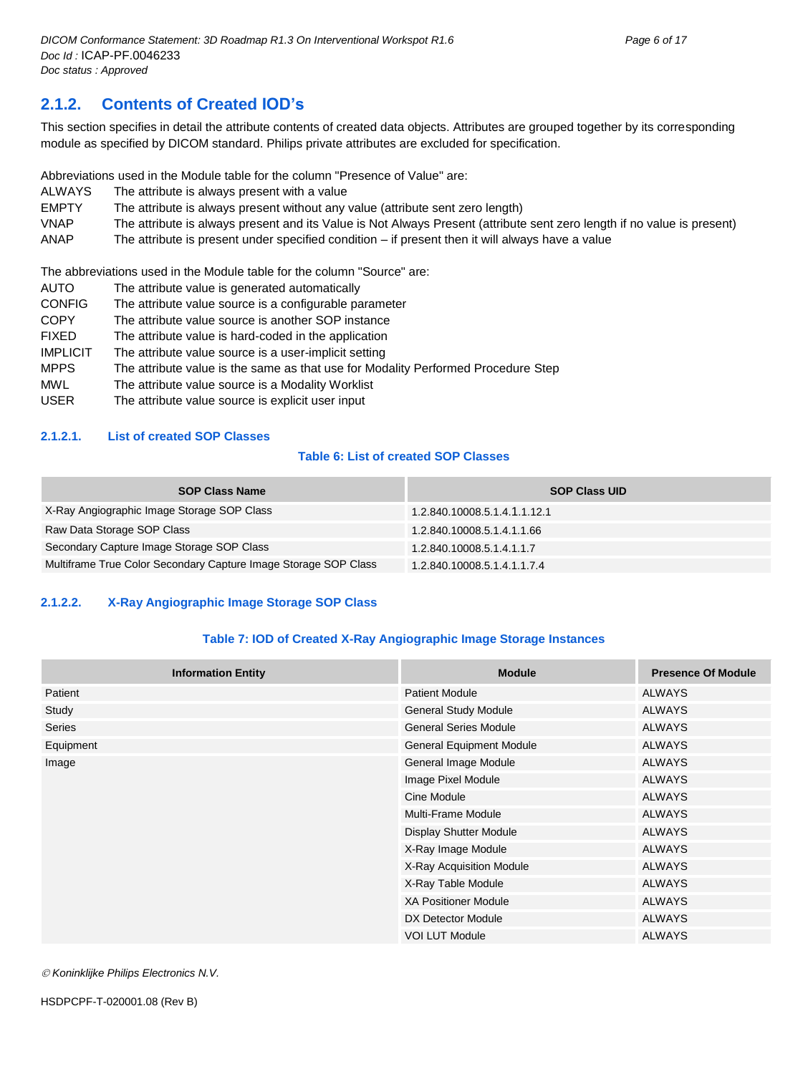## <span id="page-5-0"></span>**2.1.2. Contents of Created IOD's**

This section specifies in detail the attribute contents of created data objects. Attributes are grouped together by its corresponding module as specified by DICOM standard. Philips private attributes are excluded for specification.

Abbreviations used in the Module table for the column "Presence of Value" are:

- ALWAYS The attribute is always present with a value
- EMPTY The attribute is always present without any value (attribute sent zero length)
- VNAP The attribute is always present and its Value is Not Always Present (attribute sent zero length if no value is present)

ANAP The attribute is present under specified condition – if present then it will always have a value

The abbreviations used in the Module table for the column "Source" are:

- AUTO The attribute value is generated automatically
- CONFIG The attribute value source is a configurable parameter
- COPY The attribute value source is another SOP instance
- FIXED The attribute value is hard-coded in the application
- IMPLICIT The attribute value source is a user-implicit setting
- MPPS The attribute value is the same as that use for Modality Performed Procedure Step
- MWL The attribute value source is a Modality Worklist
- USER The attribute value source is explicit user input

#### <span id="page-5-1"></span>**2.1.2.1. List of created SOP Classes**

#### **Table 6: List of created SOP Classes**

| <b>SOP Class Name</b>                                           | <b>SOP Class UID</b>         |
|-----------------------------------------------------------------|------------------------------|
| X-Ray Angiographic Image Storage SOP Class                      | 1.2.840.10008.5.1.4.1.1.12.1 |
| Raw Data Storage SOP Class                                      | 1.2.840.10008.5.1.4.1.1.66   |
| Secondary Capture Image Storage SOP Class                       | 1.2.840.10008.5.1.4.1.1.7    |
| Multiframe True Color Secondary Capture Image Storage SOP Class | 1.2.840.10008.5.1.4.1.1.7.4  |

#### <span id="page-5-2"></span>**2.1.2.2. X-Ray Angiographic Image Storage SOP Class**

#### **Table 7: IOD of Created X-Ray Angiographic Image Storage Instances**

| <b>Information Entity</b> | <b>Module</b>                | <b>Presence Of Module</b> |
|---------------------------|------------------------------|---------------------------|
| Patient                   | <b>Patient Module</b>        | <b>ALWAYS</b>             |
| Study                     | <b>General Study Module</b>  | <b>ALWAYS</b>             |
| Series                    | <b>General Series Module</b> | <b>ALWAYS</b>             |
| Equipment                 | General Equipment Module     | <b>ALWAYS</b>             |
| Image                     | General Image Module         | <b>ALWAYS</b>             |
|                           | Image Pixel Module           | <b>ALWAYS</b>             |
|                           | Cine Module                  | <b>ALWAYS</b>             |
|                           | Multi-Frame Module           | <b>ALWAYS</b>             |
|                           | Display Shutter Module       | <b>ALWAYS</b>             |
|                           | X-Ray Image Module           | <b>ALWAYS</b>             |
|                           | X-Ray Acquisition Module     | <b>ALWAYS</b>             |
|                           | X-Ray Table Module           | <b>ALWAYS</b>             |
|                           | <b>XA Positioner Module</b>  | <b>ALWAYS</b>             |
|                           | DX Detector Module           | <b>ALWAYS</b>             |
|                           | <b>VOI LUT Module</b>        | <b>ALWAYS</b>             |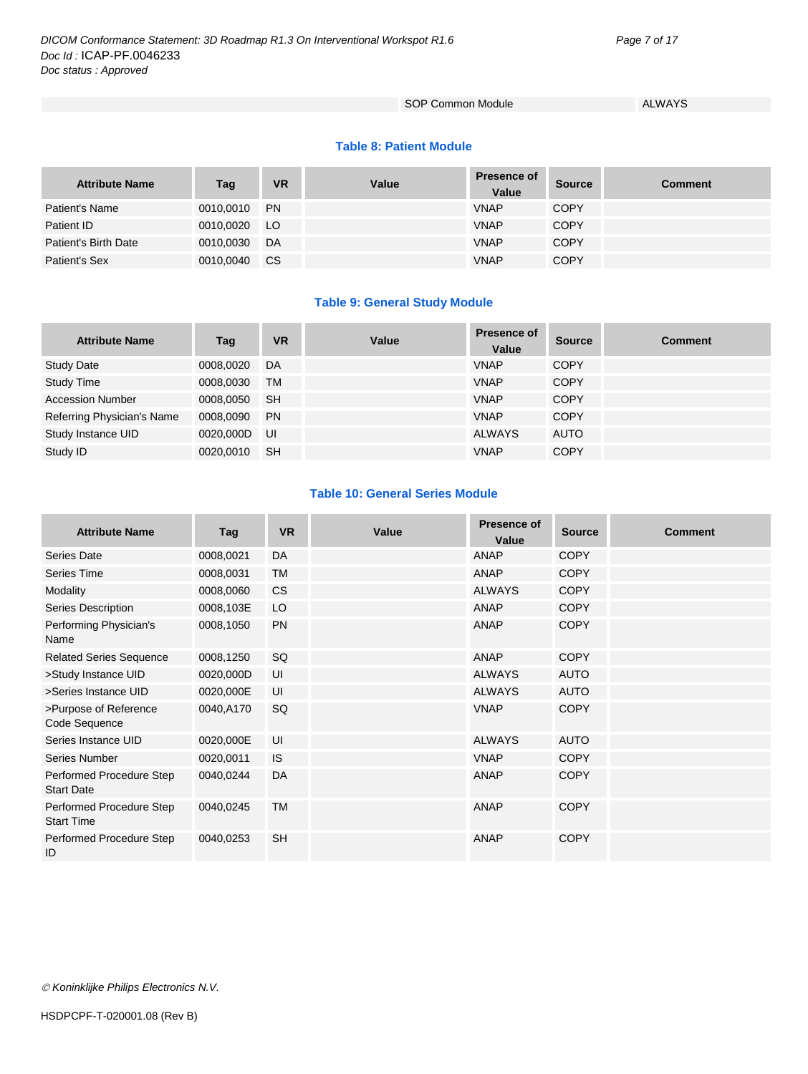#### SOP Common Module ALWAYS

#### **Table 8: Patient Module**

| <b>Attribute Name</b> | Tag       | <b>VR</b>     | Value | <b>Presence of</b><br>Value | <b>Source</b> | Comment |
|-----------------------|-----------|---------------|-------|-----------------------------|---------------|---------|
| Patient's Name        | 0010,0010 | <b>PN</b>     |       | <b>VNAP</b>                 | <b>COPY</b>   |         |
| Patient ID            | 0010.0020 | LO            |       | <b>VNAP</b>                 | <b>COPY</b>   |         |
| Patient's Birth Date  | 0010,0030 | DA            |       | <b>VNAP</b>                 | <b>COPY</b>   |         |
| Patient's Sex         | 0010,0040 | <sub>CS</sub> |       | <b>VNAP</b>                 | <b>COPY</b>   |         |

#### **Table 9: General Study Module**

| <b>Attribute Name</b>      | Tag       | <b>VR</b> | Value | <b>Presence of</b><br>Value | <b>Source</b> | <b>Comment</b> |
|----------------------------|-----------|-----------|-------|-----------------------------|---------------|----------------|
| <b>Study Date</b>          | 0008,0020 | DA        |       | <b>VNAP</b>                 | <b>COPY</b>   |                |
| <b>Study Time</b>          | 0008.0030 | TM        |       | <b>VNAP</b>                 | <b>COPY</b>   |                |
| <b>Accession Number</b>    | 0008,0050 | <b>SH</b> |       | <b>VNAP</b>                 | <b>COPY</b>   |                |
| Referring Physician's Name | 0008,0090 | <b>PN</b> |       | <b>VNAP</b>                 | <b>COPY</b>   |                |
| Study Instance UID         | 0020.000D | UI        |       | <b>ALWAYS</b>               | <b>AUTO</b>   |                |
| Study ID                   | 0020.0010 | <b>SH</b> |       | <b>VNAP</b>                 | <b>COPY</b>   |                |

#### **Table 10: General Series Module**

| <b>Attribute Name</b>                         | Tag       | <b>VR</b> | Value | Presence of<br>Value | <b>Source</b> | <b>Comment</b> |
|-----------------------------------------------|-----------|-----------|-------|----------------------|---------------|----------------|
| Series Date                                   | 0008,0021 | DA        |       | <b>ANAP</b>          | <b>COPY</b>   |                |
| <b>Series Time</b>                            | 0008,0031 | <b>TM</b> |       | ANAP                 | <b>COPY</b>   |                |
| Modality                                      | 0008,0060 | <b>CS</b> |       | <b>ALWAYS</b>        | <b>COPY</b>   |                |
| Series Description                            | 0008,103E | LO        |       | ANAP                 | <b>COPY</b>   |                |
| Performing Physician's<br>Name                | 0008,1050 | <b>PN</b> |       | <b>ANAP</b>          | <b>COPY</b>   |                |
| <b>Related Series Sequence</b>                | 0008,1250 | SQ        |       | ANAP                 | <b>COPY</b>   |                |
| >Study Instance UID                           | 0020,000D | UI        |       | <b>ALWAYS</b>        | <b>AUTO</b>   |                |
| >Series Instance UID                          | 0020,000E | UI        |       | <b>ALWAYS</b>        | <b>AUTO</b>   |                |
| >Purpose of Reference<br>Code Sequence        | 0040,A170 | <b>SQ</b> |       | <b>VNAP</b>          | <b>COPY</b>   |                |
| Series Instance UID                           | 0020,000E | UI        |       | <b>ALWAYS</b>        | <b>AUTO</b>   |                |
| Series Number                                 | 0020,0011 | IS.       |       | <b>VNAP</b>          | <b>COPY</b>   |                |
| Performed Procedure Step<br><b>Start Date</b> | 0040,0244 | DA        |       | <b>ANAP</b>          | <b>COPY</b>   |                |
| Performed Procedure Step<br><b>Start Time</b> | 0040,0245 | <b>TM</b> |       | <b>ANAP</b>          | <b>COPY</b>   |                |
| Performed Procedure Step<br>ID                | 0040,0253 | <b>SH</b> |       | ANAP                 | <b>COPY</b>   |                |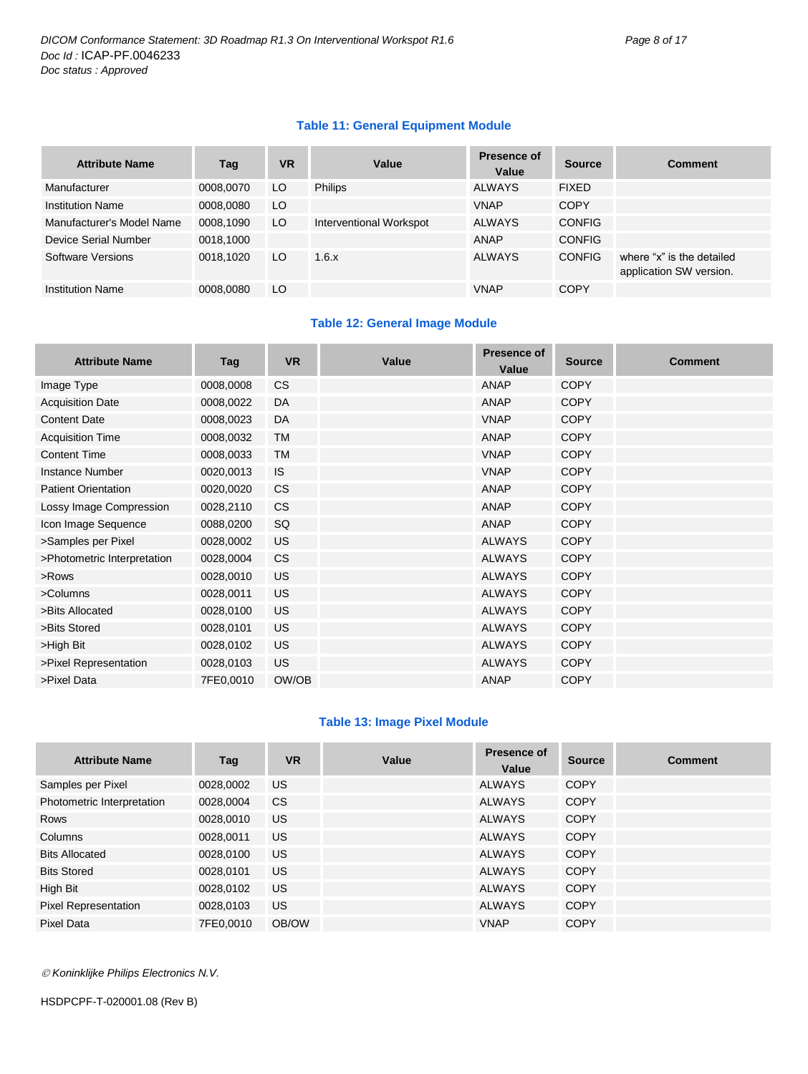#### **Table 11: General Equipment Module**

| <b>Attribute Name</b>     | Tag       | <b>VR</b> | Value                   | Presence of<br>Value | <b>Source</b> | <b>Comment</b>                                       |
|---------------------------|-----------|-----------|-------------------------|----------------------|---------------|------------------------------------------------------|
| Manufacturer              | 0008,0070 | LO        | <b>Philips</b>          | <b>ALWAYS</b>        | <b>FIXED</b>  |                                                      |
| <b>Institution Name</b>   | 0008,0080 | LO        |                         | <b>VNAP</b>          | <b>COPY</b>   |                                                      |
| Manufacturer's Model Name | 0008,1090 | LO        | Interventional Workspot | <b>ALWAYS</b>        | <b>CONFIG</b> |                                                      |
| Device Serial Number      | 0018,1000 |           |                         | <b>ANAP</b>          | <b>CONFIG</b> |                                                      |
| Software Versions         | 0018,1020 | LO        | 1.6.x                   | <b>ALWAYS</b>        | <b>CONFIG</b> | where "x" is the detailed<br>application SW version. |
| <b>Institution Name</b>   | 0008,0080 | LO        |                         | <b>VNAP</b>          | <b>COPY</b>   |                                                      |

#### **Table 12: General Image Module**

| <b>Attribute Name</b>       | Tag       | <b>VR</b> | Value | Presence of<br>Value | <b>Source</b> | <b>Comment</b> |
|-----------------------------|-----------|-----------|-------|----------------------|---------------|----------------|
| Image Type                  | 0008,0008 | <b>CS</b> |       | <b>ANAP</b>          | <b>COPY</b>   |                |
| <b>Acquisition Date</b>     | 0008,0022 | DA        |       | <b>ANAP</b>          | <b>COPY</b>   |                |
| <b>Content Date</b>         | 0008,0023 | DA        |       | <b>VNAP</b>          | <b>COPY</b>   |                |
| <b>Acquisition Time</b>     | 0008,0032 | <b>TM</b> |       | <b>ANAP</b>          | <b>COPY</b>   |                |
| <b>Content Time</b>         | 0008,0033 | TM        |       | <b>VNAP</b>          | <b>COPY</b>   |                |
| <b>Instance Number</b>      | 0020,0013 | <b>IS</b> |       | <b>VNAP</b>          | <b>COPY</b>   |                |
| <b>Patient Orientation</b>  | 0020,0020 | <b>CS</b> |       | <b>ANAP</b>          | <b>COPY</b>   |                |
| Lossy Image Compression     | 0028,2110 | CS.       |       | <b>ANAP</b>          | <b>COPY</b>   |                |
| Icon Image Sequence         | 0088,0200 | SQ        |       | <b>ANAP</b>          | <b>COPY</b>   |                |
| >Samples per Pixel          | 0028,0002 | <b>US</b> |       | <b>ALWAYS</b>        | <b>COPY</b>   |                |
| >Photometric Interpretation | 0028,0004 | <b>CS</b> |       | <b>ALWAYS</b>        | <b>COPY</b>   |                |
| >Rows                       | 0028,0010 | <b>US</b> |       | <b>ALWAYS</b>        | <b>COPY</b>   |                |
| >Columns                    | 0028,0011 | <b>US</b> |       | <b>ALWAYS</b>        | <b>COPY</b>   |                |
| >Bits Allocated             | 0028,0100 | <b>US</b> |       | <b>ALWAYS</b>        | <b>COPY</b>   |                |
| >Bits Stored                | 0028,0101 | <b>US</b> |       | <b>ALWAYS</b>        | <b>COPY</b>   |                |
| >High Bit                   | 0028,0102 | <b>US</b> |       | <b>ALWAYS</b>        | <b>COPY</b>   |                |
| >Pixel Representation       | 0028,0103 | <b>US</b> |       | <b>ALWAYS</b>        | <b>COPY</b>   |                |
| >Pixel Data                 | 7FE0,0010 | OW/OB     |       | <b>ANAP</b>          | <b>COPY</b>   |                |

#### **Table 13: Image Pixel Module**

| <b>Attribute Name</b>      | Tag       | <b>VR</b> | Value | Presence of<br>Value | <b>Source</b> | <b>Comment</b> |
|----------------------------|-----------|-----------|-------|----------------------|---------------|----------------|
| Samples per Pixel          | 0028,0002 | US.       |       | <b>ALWAYS</b>        | <b>COPY</b>   |                |
| Photometric Interpretation | 0028,0004 | <b>CS</b> |       | <b>ALWAYS</b>        | <b>COPY</b>   |                |
| Rows                       | 0028,0010 | US.       |       | ALWAYS               | <b>COPY</b>   |                |
| Columns                    | 0028,0011 | US.       |       | ALWAYS               | <b>COPY</b>   |                |
| <b>Bits Allocated</b>      | 0028,0100 | <b>US</b> |       | <b>ALWAYS</b>        | <b>COPY</b>   |                |
| <b>Bits Stored</b>         | 0028.0101 | US.       |       | ALWAYS               | <b>COPY</b>   |                |
| High Bit                   | 0028,0102 | <b>US</b> |       | <b>ALWAYS</b>        | <b>COPY</b>   |                |
| Pixel Representation       | 0028,0103 | <b>US</b> |       | <b>ALWAYS</b>        | <b>COPY</b>   |                |
| Pixel Data                 | 7FE0.0010 | OB/OW     |       | <b>VNAP</b>          | <b>COPY</b>   |                |

*Koninklijke Philips Electronics N.V.*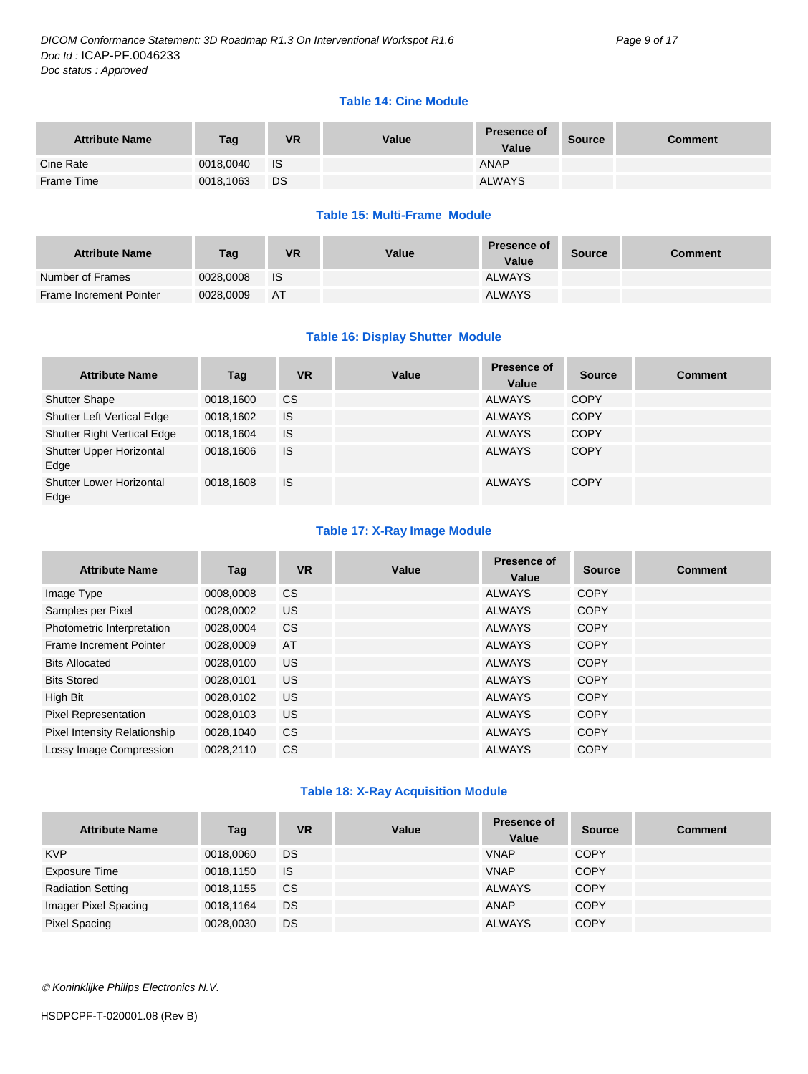#### **Table 14: Cine Module**

| <b>Attribute Name</b> | Tag       | VR   | Value | <b>Presence of</b><br>Value | <b>Source</b> | Comment |
|-----------------------|-----------|------|-------|-----------------------------|---------------|---------|
| Cine Rate             | 0018.0040 | - IS |       | ANAP                        |               |         |
| Frame Time            | 0018,1063 | DS   |       | <b>ALWAYS</b>               |               |         |

#### **Table 15: Multi-Frame Module**

| <b>Attribute Name</b>   | Tag       | <b>VR</b> | Value | <b>Presence of</b><br>Value | <b>Source</b> | <b>Comment</b> |
|-------------------------|-----------|-----------|-------|-----------------------------|---------------|----------------|
| Number of Frames        | 0028.0008 | - IS      |       | <b>ALWAYS</b>               |               |                |
| Frame Increment Pointer | 0028.0009 | AT        |       | <b>ALWAYS</b>               |               |                |

#### **Table 16: Display Shutter Module**

| <b>Attribute Name</b>              | Tag       | <b>VR</b> | Value | Presence of<br>Value | <b>Source</b> | <b>Comment</b> |
|------------------------------------|-----------|-----------|-------|----------------------|---------------|----------------|
| <b>Shutter Shape</b>               | 0018,1600 | <b>CS</b> |       | <b>ALWAYS</b>        | <b>COPY</b>   |                |
| <b>Shutter Left Vertical Edge</b>  | 0018,1602 | IS        |       | <b>ALWAYS</b>        | <b>COPY</b>   |                |
| <b>Shutter Right Vertical Edge</b> | 0018,1604 | IS        |       | <b>ALWAYS</b>        | <b>COPY</b>   |                |
| Shutter Upper Horizontal<br>Edge   | 0018.1606 | IS        |       | <b>ALWAYS</b>        | <b>COPY</b>   |                |
| Shutter Lower Horizontal<br>Edge   | 0018.1608 | IS        |       | <b>ALWAYS</b>        | <b>COPY</b>   |                |

#### **Table 17: X-Ray Image Module**

| <b>Attribute Name</b>        | Tag       | <b>VR</b> | Value | Presence of<br>Value | <b>Source</b> | <b>Comment</b> |
|------------------------------|-----------|-----------|-------|----------------------|---------------|----------------|
| Image Type                   | 0008.0008 | <b>CS</b> |       | <b>ALWAYS</b>        | <b>COPY</b>   |                |
| Samples per Pixel            | 0028,0002 | <b>US</b> |       | ALWAYS               | COPY          |                |
| Photometric Interpretation   | 0028.0004 | <b>CS</b> |       | ALWAYS               | COPY          |                |
| Frame Increment Pointer      | 0028,0009 | AT        |       | ALWAYS               | <b>COPY</b>   |                |
| <b>Bits Allocated</b>        | 0028.0100 | <b>US</b> |       | <b>ALWAYS</b>        | COPY          |                |
| <b>Bits Stored</b>           | 0028.0101 | <b>US</b> |       | <b>ALWAYS</b>        | COPY          |                |
| High Bit                     | 0028,0102 | <b>US</b> |       | <b>ALWAYS</b>        | COPY          |                |
| <b>Pixel Representation</b>  | 0028,0103 | US.       |       | <b>ALWAYS</b>        | <b>COPY</b>   |                |
| Pixel Intensity Relationship | 0028.1040 | <b>CS</b> |       | <b>ALWAYS</b>        | <b>COPY</b>   |                |
| Lossy Image Compression      | 0028.2110 | <b>CS</b> |       | <b>ALWAYS</b>        | <b>COPY</b>   |                |

#### **Table 18: X-Ray Acquisition Module**

| <b>Attribute Name</b>    | Tag       | <b>VR</b> | Value | <b>Presence of</b><br>Value | <b>Source</b> | <b>Comment</b> |
|--------------------------|-----------|-----------|-------|-----------------------------|---------------|----------------|
| <b>KVP</b>               | 0018,0060 | <b>DS</b> |       | <b>VNAP</b>                 | <b>COPY</b>   |                |
| Exposure Time            | 0018,1150 | IS        |       | <b>VNAP</b>                 | <b>COPY</b>   |                |
| <b>Radiation Setting</b> | 0018,1155 | <b>CS</b> |       | <b>ALWAYS</b>               | <b>COPY</b>   |                |
| Imager Pixel Spacing     | 0018,1164 | DS        |       | ANAP                        | <b>COPY</b>   |                |
| Pixel Spacing            | 0028,0030 | DS        |       | <b>ALWAYS</b>               | <b>COPY</b>   |                |

*Koninklijke Philips Electronics N.V.*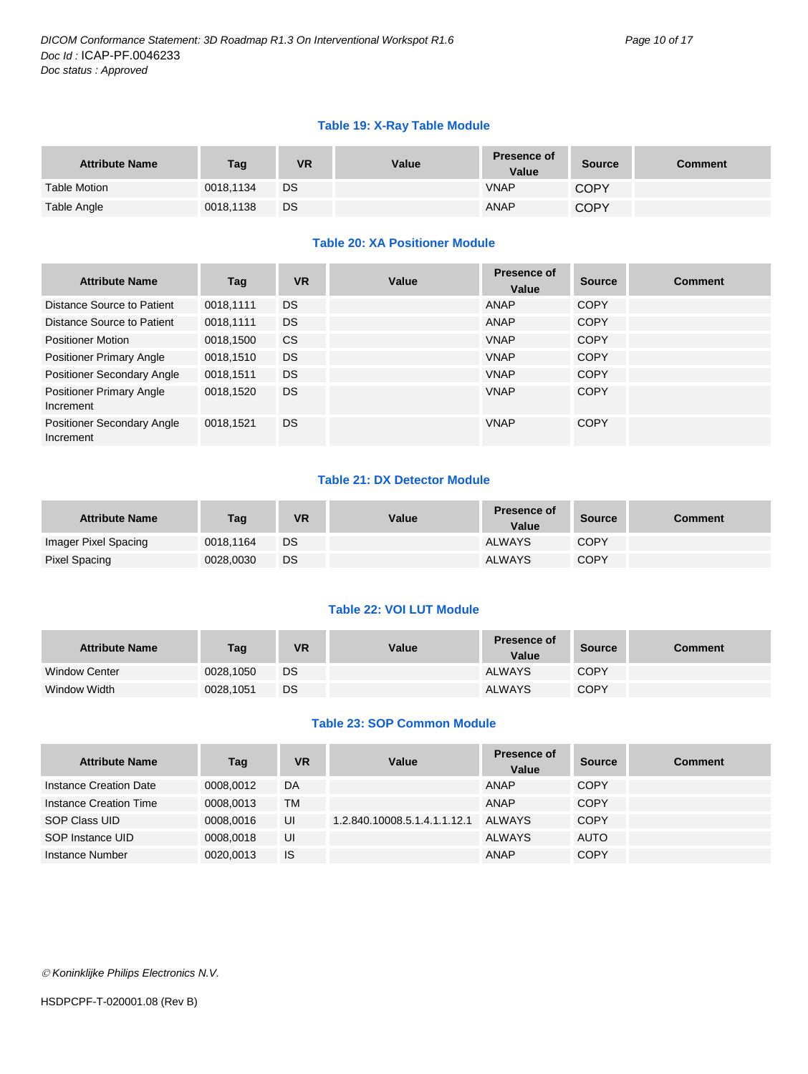#### **Table 19: X-Ray Table Module**

| <b>Attribute Name</b> | Tag       | <b>VR</b> | Value | <b>Presence of</b><br>Value | Source      | <b>Comment</b> |
|-----------------------|-----------|-----------|-------|-----------------------------|-------------|----------------|
| <b>Table Motion</b>   | 0018.1134 | <b>DS</b> |       | <b>VNAP</b>                 | <b>COPY</b> |                |
| Table Angle           | 0018.1138 | DS        |       | <b>ANAP</b>                 | <b>COPY</b> |                |

#### **Table 20: XA Positioner Module**

| <b>Attribute Name</b>                          | Tag       | <b>VR</b> | Value | Presence of<br>Value | <b>Source</b> | <b>Comment</b> |
|------------------------------------------------|-----------|-----------|-------|----------------------|---------------|----------------|
| Distance Source to Patient                     | 0018.1111 | <b>DS</b> |       | <b>ANAP</b>          | COPY          |                |
| Distance Source to Patient                     | 0018.1111 | <b>DS</b> |       | ANAP                 | <b>COPY</b>   |                |
| <b>Positioner Motion</b>                       | 0018,1500 | <b>CS</b> |       | <b>VNAP</b>          | COPY          |                |
| <b>Positioner Primary Angle</b>                | 0018,1510 | DS.       |       | <b>VNAP</b>          | COPY          |                |
| <b>Positioner Secondary Angle</b>              | 0018,1511 | <b>DS</b> |       | <b>VNAP</b>          | <b>COPY</b>   |                |
| <b>Positioner Primary Angle</b><br>Increment   | 0018.1520 | <b>DS</b> |       | <b>VNAP</b>          | <b>COPY</b>   |                |
| <b>Positioner Secondary Angle</b><br>Increment | 0018,1521 | <b>DS</b> |       | <b>VNAP</b>          | <b>COPY</b>   |                |

#### **Table 21: DX Detector Module**

| <b>Attribute Name</b> | Tag       | <b>VR</b> | Value | <b>Presence of</b><br>Value | <b>Source</b> | Comment |
|-----------------------|-----------|-----------|-------|-----------------------------|---------------|---------|
| Imager Pixel Spacing  | 0018.1164 | <b>DS</b> |       | <b>ALWAYS</b>               | <b>COPY</b>   |         |
| Pixel Spacing         | 0028.0030 | DS        |       | <b>ALWAYS</b>               | <b>COPY</b>   |         |

#### **Table 22: VOI LUT Module**

| <b>Attribute Name</b> | Tag       | <b>VR</b> | Value | <b>Presence of</b><br>Value | <b>Source</b> | Comment |
|-----------------------|-----------|-----------|-------|-----------------------------|---------------|---------|
| <b>Window Center</b>  | 0028.1050 | DS        |       | <b>ALWAYS</b>               | <b>COPY</b>   |         |
| Window Width          | 0028.1051 | <b>DS</b> |       | <b>ALWAYS</b>               | <b>COPY</b>   |         |

#### **Table 23: SOP Common Module**

| <b>Attribute Name</b>  | Tag       | <b>VR</b> | Value                        | Presence of<br>Value | <b>Source</b> | <b>Comment</b> |
|------------------------|-----------|-----------|------------------------------|----------------------|---------------|----------------|
| Instance Creation Date | 0008.0012 | DA        |                              | ANAP                 | <b>COPY</b>   |                |
| Instance Creation Time | 0008.0013 | <b>TM</b> |                              | <b>ANAP</b>          | <b>COPY</b>   |                |
| SOP Class UID          | 0008.0016 | UI        | 1.2.840.10008.5.1.4.1.1.12.1 | ALWAYS               | <b>COPY</b>   |                |
| SOP Instance UID       | 0008.0018 | UI        |                              | <b>ALWAYS</b>        | <b>AUTO</b>   |                |
| Instance Number        | 0020.0013 | IS        |                              | <b>ANAP</b>          | <b>COPY</b>   |                |

*Koninklijke Philips Electronics N.V.*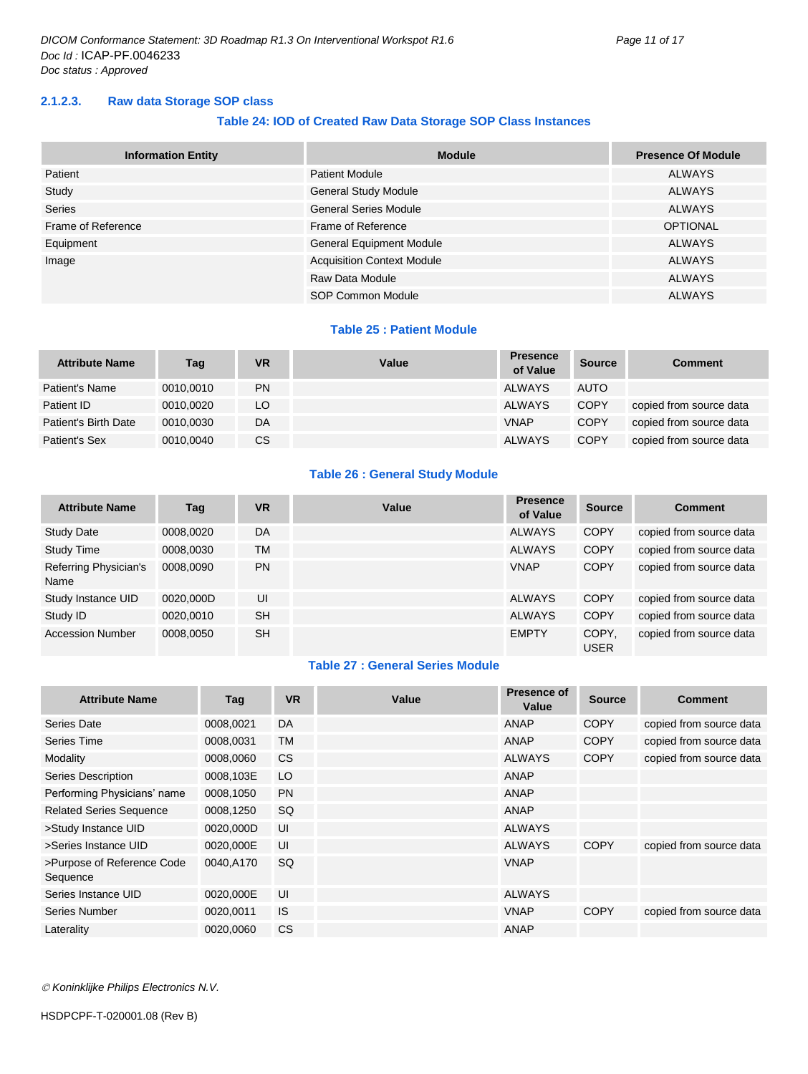#### <span id="page-10-0"></span>**2.1.2.3. Raw data Storage SOP class**

#### **Table 24: IOD of Created Raw Data Storage SOP Class Instances**

| <b>Information Entity</b> | <b>Module</b>                     | <b>Presence Of Module</b> |
|---------------------------|-----------------------------------|---------------------------|
| Patient                   | <b>Patient Module</b>             | <b>ALWAYS</b>             |
| Study                     | <b>General Study Module</b>       | <b>ALWAYS</b>             |
| <b>Series</b>             | <b>General Series Module</b>      | <b>ALWAYS</b>             |
| Frame of Reference        | Frame of Reference                | <b>OPTIONAL</b>           |
| Equipment                 | <b>General Equipment Module</b>   | <b>ALWAYS</b>             |
| Image                     | <b>Acquisition Context Module</b> | <b>ALWAYS</b>             |
|                           | Raw Data Module                   | <b>ALWAYS</b>             |
|                           | SOP Common Module                 | <b>ALWAYS</b>             |

#### **Table 25 : Patient Module**

| <b>Attribute Name</b> | Tag       | <b>VR</b> | Value | <b>Presence</b><br>of Value | <b>Source</b> | <b>Comment</b>          |
|-----------------------|-----------|-----------|-------|-----------------------------|---------------|-------------------------|
| Patient's Name        | 0010.0010 | PN        |       | <b>ALWAYS</b>               | <b>AUTO</b>   |                         |
| Patient ID            | 0010.0020 | LO        |       | <b>ALWAYS</b>               | <b>COPY</b>   | copied from source data |
| Patient's Birth Date  | 0010.0030 | DA        |       | <b>VNAP</b>                 | <b>COPY</b>   | copied from source data |
| Patient's Sex         | 0010,0040 | СS        |       | <b>ALWAYS</b>               | <b>COPY</b>   | copied from source data |

#### **Table 26 : General Study Module**

| <b>Attribute Name</b>         | Tag       | <b>VR</b> | Value | <b>Presence</b><br>of Value | <b>Source</b>        | <b>Comment</b>          |
|-------------------------------|-----------|-----------|-------|-----------------------------|----------------------|-------------------------|
| <b>Study Date</b>             | 0008,0020 | DA        |       | <b>ALWAYS</b>               | <b>COPY</b>          | copied from source data |
| <b>Study Time</b>             | 0008,0030 | TM        |       | <b>ALWAYS</b>               | <b>COPY</b>          | copied from source data |
| Referring Physician's<br>Name | 0008.0090 | <b>PN</b> |       | <b>VNAP</b>                 | <b>COPY</b>          | copied from source data |
| Study Instance UID            | 0020,000D | UI        |       | <b>ALWAYS</b>               | <b>COPY</b>          | copied from source data |
| Study ID                      | 0020,0010 | <b>SH</b> |       | <b>ALWAYS</b>               | <b>COPY</b>          | copied from source data |
| <b>Accession Number</b>       | 0008,0050 | <b>SH</b> |       | <b>EMPTY</b>                | COPY.<br><b>USER</b> | copied from source data |

#### **Table 27 : General Series Module**

| <b>Attribute Name</b>                  | Tag       | <b>VR</b> | Value | <b>Presence of</b><br>Value | <b>Source</b> | <b>Comment</b>          |
|----------------------------------------|-----------|-----------|-------|-----------------------------|---------------|-------------------------|
| Series Date                            | 0008,0021 | DA        |       | ANAP                        | <b>COPY</b>   | copied from source data |
| Series Time                            | 0008,0031 | <b>TM</b> |       | <b>ANAP</b>                 | <b>COPY</b>   | copied from source data |
| Modality                               | 0008,0060 | <b>CS</b> |       | <b>ALWAYS</b>               | <b>COPY</b>   | copied from source data |
| Series Description                     | 0008,103E | LO        |       | <b>ANAP</b>                 |               |                         |
| Performing Physicians' name            | 0008,1050 | <b>PN</b> |       | <b>ANAP</b>                 |               |                         |
| <b>Related Series Sequence</b>         | 0008,1250 | <b>SQ</b> |       | <b>ANAP</b>                 |               |                         |
| >Study Instance UID                    | 0020,000D | UI        |       | <b>ALWAYS</b>               |               |                         |
| >Series Instance UID                   | 0020,000E | UI        |       | <b>ALWAYS</b>               | <b>COPY</b>   | copied from source data |
| >Purpose of Reference Code<br>Sequence | 0040.A170 | SQ        |       | <b>VNAP</b>                 |               |                         |
| Series Instance UID                    | 0020,000E | UI        |       | <b>ALWAYS</b>               |               |                         |
| Series Number                          | 0020,0011 | <b>IS</b> |       | <b>VNAP</b>                 | <b>COPY</b>   | copied from source data |
| Laterality                             | 0020,0060 | <b>CS</b> |       | <b>ANAP</b>                 |               |                         |

*Koninklijke Philips Electronics N.V.*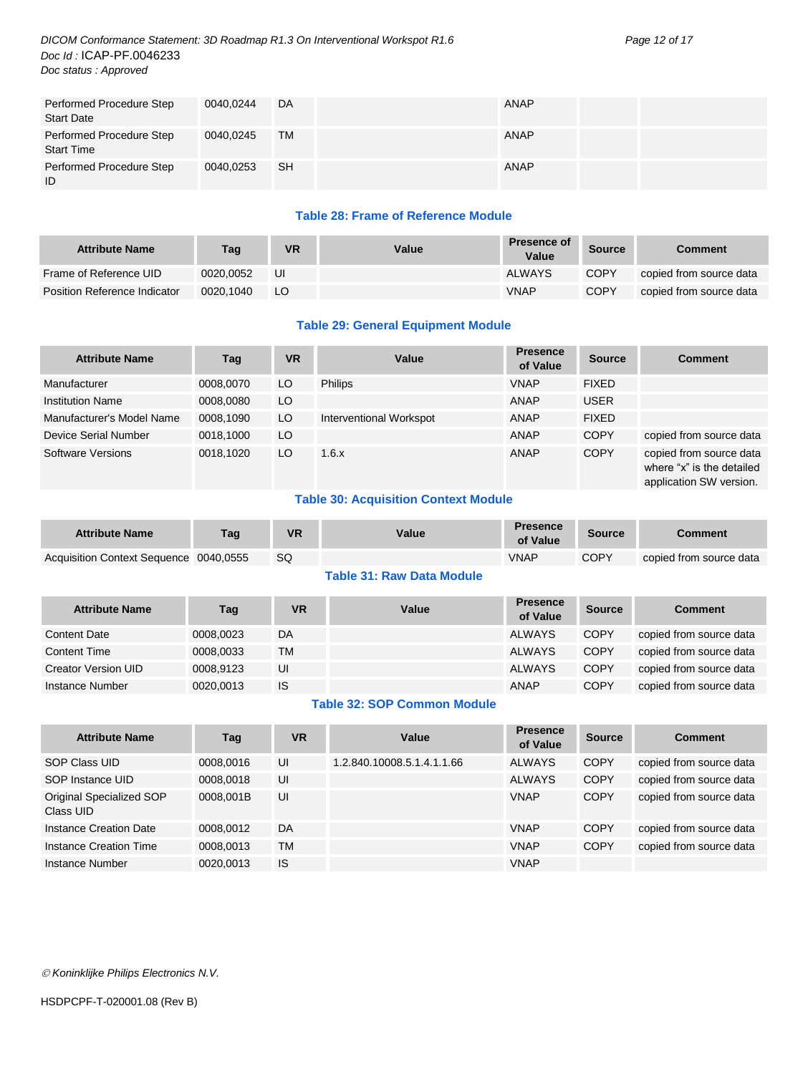#### *DICOM Conformance Statement: 3D Roadmap R1.3 On Interventional Workspot R1.6 Page 12 of 17 Doc Id :* ICAP-PF.0046233 *Doc status : Approved*

| Performed Procedure Step<br><b>Start Date</b> | 0040.0244 | DA        | ANAP |
|-----------------------------------------------|-----------|-----------|------|
| Performed Procedure Step<br><b>Start Time</b> | 0040.0245 | TM        | ANAP |
| Performed Procedure Step<br>ID                | 0040.0253 | <b>SH</b> | ANAP |

#### **Table 28: Frame of Reference Module**

| <b>Attribute Name</b>               | Taq       | VR | Value | <b>Presence of</b><br>Value | <b>Source</b> | Comment                 |
|-------------------------------------|-----------|----|-------|-----------------------------|---------------|-------------------------|
| Frame of Reference UID              | 0020.0052 | UI |       | ALWAYS                      | <b>COPY</b>   | copied from source data |
| <b>Position Reference Indicator</b> | 0020.1040 | LO |       | <b>VNAP</b>                 | <b>COPY</b>   | copied from source data |

#### **Table 29: General Equipment Module**

| <b>Attribute Name</b>     | Tag       | <b>VR</b> | Value                   | <b>Presence</b><br>of Value | <b>Source</b> | <b>Comment</b>                                                                  |
|---------------------------|-----------|-----------|-------------------------|-----------------------------|---------------|---------------------------------------------------------------------------------|
| Manufacturer              | 0008.0070 | LO.       | <b>Philips</b>          | <b>VNAP</b>                 | <b>FIXED</b>  |                                                                                 |
| <b>Institution Name</b>   | 0008.0080 | LO.       |                         | <b>ANAP</b>                 | <b>USER</b>   |                                                                                 |
| Manufacturer's Model Name | 0008,1090 | LO        | Interventional Workspot | ANAP                        | <b>FIXED</b>  |                                                                                 |
| Device Serial Number      | 0018,1000 | LO.       |                         | <b>ANAP</b>                 | <b>COPY</b>   | copied from source data                                                         |
| Software Versions         | 0018.1020 | LO.       | 1.6.x                   | <b>ANAP</b>                 | <b>COPY</b>   | copied from source data<br>where "x" is the detailed<br>application SW version. |

#### **Table 30: Acquisition Context Module**

| <b>Attribute Name</b>                  | Taq | VR | Value | <b>Presence</b><br>of Value | <b>Source</b> | Comment                 |
|----------------------------------------|-----|----|-------|-----------------------------|---------------|-------------------------|
| Acquisition Context Sequence 0040,0555 |     | SQ |       | <b>VNAP</b>                 | <b>COPY</b>   | copied from source data |
|                                        |     |    |       |                             |               |                         |

#### **Table 31: Raw Data Module**

| <b>Attribute Name</b> | Tag       | <b>VR</b> | Value | <b>Presence</b><br>of Value | <b>Source</b> | <b>Comment</b>          |
|-----------------------|-----------|-----------|-------|-----------------------------|---------------|-------------------------|
| <b>Content Date</b>   | 0008,0023 | DA        |       | <b>ALWAYS</b>               | <b>COPY</b>   | copied from source data |
| <b>Content Time</b>   | 0008,0033 | TM        |       | <b>ALWAYS</b>               | <b>COPY</b>   | copied from source data |
| Creator Version UID   | 0008.9123 | UI        |       | <b>ALWAYS</b>               | <b>COPY</b>   | copied from source data |
| Instance Number       | 0020,0013 | <b>IS</b> |       | <b>ANAP</b>                 | <b>COPY</b>   | copied from source data |

#### **Table 32: SOP Common Module**

| <b>Attribute Name</b>                 | Tag       | <b>VR</b> | Value                      | <b>Presence</b><br>of Value | <b>Source</b> | <b>Comment</b>          |
|---------------------------------------|-----------|-----------|----------------------------|-----------------------------|---------------|-------------------------|
| SOP Class UID                         | 0008,0016 | UI        | 1.2.840.10008.5.1.4.1.1.66 | <b>ALWAYS</b>               | <b>COPY</b>   | copied from source data |
| SOP Instance UID                      | 0008.0018 | UI        |                            | <b>ALWAYS</b>               | <b>COPY</b>   | copied from source data |
| Original Specialized SOP<br>Class UID | 0008.001B | UI        |                            | <b>VNAP</b>                 | <b>COPY</b>   | copied from source data |
| Instance Creation Date                | 0008.0012 | DA        |                            | <b>VNAP</b>                 | <b>COPY</b>   | copied from source data |
| Instance Creation Time                | 0008,0013 | TM        |                            | <b>VNAP</b>                 | <b>COPY</b>   | copied from source data |
| Instance Number                       | 0020,0013 | IS        |                            | <b>VNAP</b>                 |               |                         |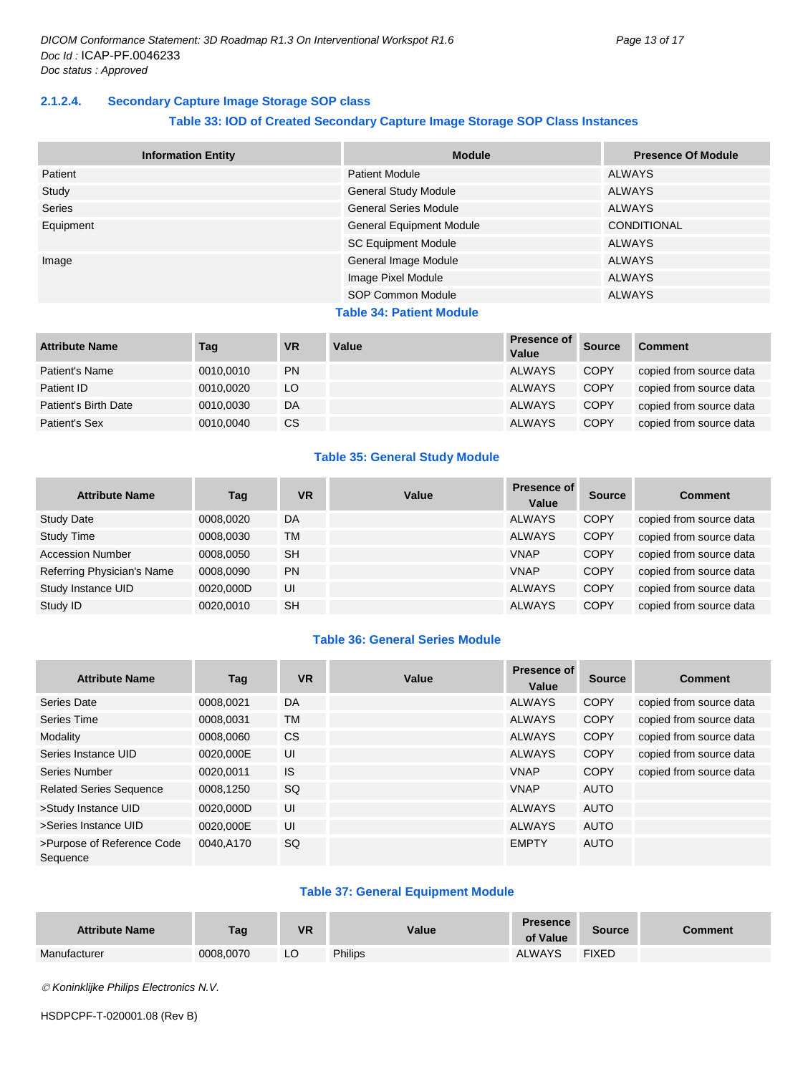#### <span id="page-12-0"></span>**2.1.2.4. Secondary Capture Image Storage SOP class**

#### **Table 33: IOD of Created Secondary Capture Image Storage SOP Class Instances**

| <b>Information Entity</b> | <b>Module</b>                   | <b>Presence Of Module</b> |
|---------------------------|---------------------------------|---------------------------|
| Patient                   | <b>Patient Module</b>           | <b>ALWAYS</b>             |
| Study                     | <b>General Study Module</b>     | <b>ALWAYS</b>             |
| Series                    | <b>General Series Module</b>    | <b>ALWAYS</b>             |
| Equipment                 | General Equipment Module        | <b>CONDITIONAL</b>        |
|                           | <b>SC Equipment Module</b>      | <b>ALWAYS</b>             |
| Image                     | General Image Module            | <b>ALWAYS</b>             |
|                           | Image Pixel Module              | <b>ALWAYS</b>             |
|                           | <b>SOP Common Module</b>        | <b>ALWAYS</b>             |
|                           | <b>Table 34: Patient Module</b> |                           |
| $\cdots$<br>.             | $\cdots$                        | Presence of               |

| <b>Attribute Name</b> | Tag       | <b>VR</b> | Value | Presence of<br>Value | <b>Source</b> | <b>Comment</b>          |
|-----------------------|-----------|-----------|-------|----------------------|---------------|-------------------------|
| Patient's Name        | 0010.0010 | <b>PN</b> |       | <b>ALWAYS</b>        | <b>COPY</b>   | copied from source data |
| Patient ID            | 0010.0020 | LO        |       | <b>ALWAYS</b>        | <b>COPY</b>   | copied from source data |
| Patient's Birth Date  | 0010.0030 | DA        |       | <b>ALWAYS</b>        | <b>COPY</b>   | copied from source data |
| Patient's Sex         | 0010,0040 | <b>CS</b> |       | <b>ALWAYS</b>        | <b>COPY</b>   | copied from source data |

#### **Table 35: General Study Module**

| <b>Attribute Name</b>      | Tag       | <b>VR</b> | Value | <b>Presence of</b><br>Value | <b>Source</b> | <b>Comment</b>          |
|----------------------------|-----------|-----------|-------|-----------------------------|---------------|-------------------------|
| <b>Study Date</b>          | 0008.0020 | DA        |       | <b>ALWAYS</b>               | <b>COPY</b>   | copied from source data |
| <b>Study Time</b>          | 0008,0030 | TM        |       | <b>ALWAYS</b>               | <b>COPY</b>   | copied from source data |
| <b>Accession Number</b>    | 0008.0050 | <b>SH</b> |       | <b>VNAP</b>                 | <b>COPY</b>   | copied from source data |
| Referring Physician's Name | 0008.0090 | <b>PN</b> |       | <b>VNAP</b>                 | <b>COPY</b>   | copied from source data |
| Study Instance UID         | 0020.000D | UI        |       | <b>ALWAYS</b>               | <b>COPY</b>   | copied from source data |
| Study ID                   | 0020.0010 | <b>SH</b> |       | <b>ALWAYS</b>               | <b>COPY</b>   | copied from source data |

#### **Table 36: General Series Module**

| <b>Attribute Name</b>                  | Tag       | <b>VR</b> | Value | <b>Presence of</b><br>Value | <b>Source</b> | <b>Comment</b>          |
|----------------------------------------|-----------|-----------|-------|-----------------------------|---------------|-------------------------|
| Series Date                            | 0008,0021 | <b>DA</b> |       | <b>ALWAYS</b>               | <b>COPY</b>   | copied from source data |
| Series Time                            | 0008.0031 | <b>TM</b> |       | <b>ALWAYS</b>               | <b>COPY</b>   | copied from source data |
| Modality                               | 0008,0060 | <b>CS</b> |       | <b>ALWAYS</b>               | <b>COPY</b>   | copied from source data |
| Series Instance UID                    | 0020.000E | UI        |       | <b>ALWAYS</b>               | <b>COPY</b>   | copied from source data |
| Series Number                          | 0020.0011 | IS.       |       | <b>VNAP</b>                 | <b>COPY</b>   | copied from source data |
| <b>Related Series Sequence</b>         | 0008.1250 | <b>SQ</b> |       | <b>VNAP</b>                 | AUTO          |                         |
| >Study Instance UID                    | 0020,000D | UI        |       | <b>ALWAYS</b>               | AUTO          |                         |
| >Series Instance UID                   | 0020.000E | UI        |       | <b>ALWAYS</b>               | <b>AUTO</b>   |                         |
| >Purpose of Reference Code<br>Sequence | 0040.A170 | SQ        |       | <b>EMPTY</b>                | <b>AUTO</b>   |                         |

#### **Table 37: General Equipment Module**

| <b>Attribute Name</b> | <b>Tag</b> | <b>VR</b> | Value          | <b>Presence</b><br>of Value | <b>Source</b> | <b>Comment</b> |
|-----------------------|------------|-----------|----------------|-----------------------------|---------------|----------------|
| Manufacturer          | 0008,0070  | LO        | <b>Philips</b> | <b>ALWAYS</b>               | <b>FIXED</b>  |                |

*Koninklijke Philips Electronics N.V.*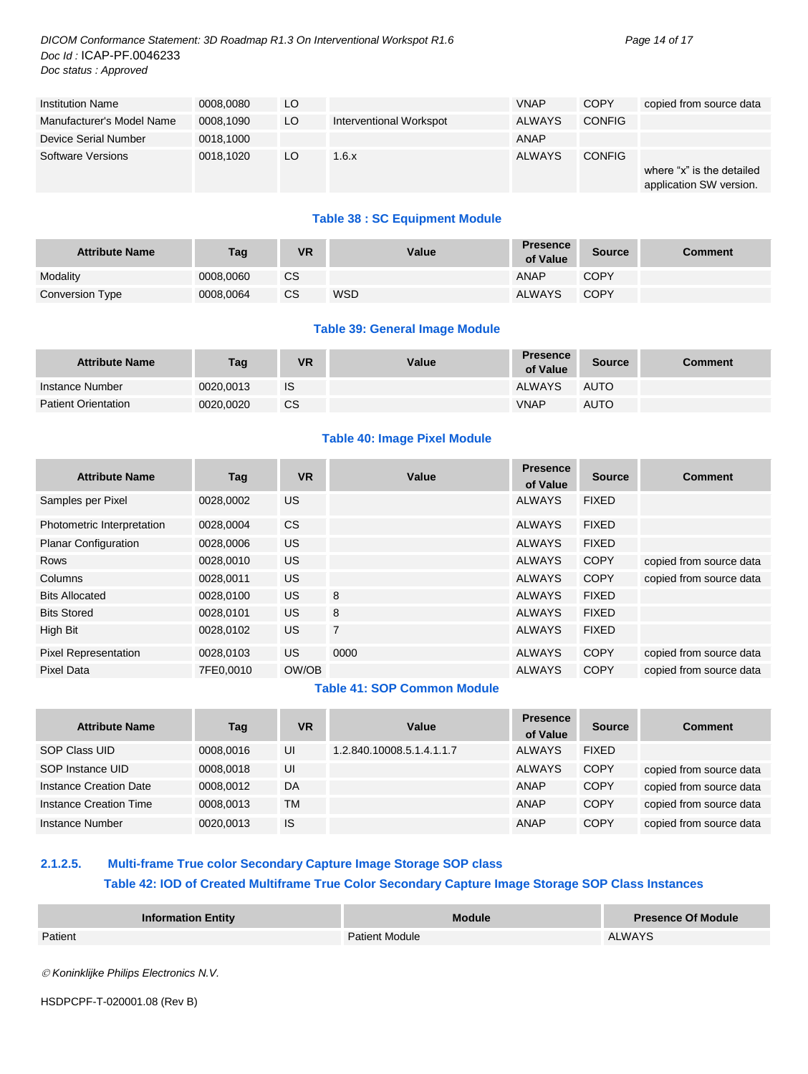*DICOM Conformance Statement: 3D Roadmap R1.3 On Interventional Workspot R1.6 Page 14 of 17 Doc Id :* ICAP-PF.0046233 *Doc status : Approved*

| <b>Institution Name</b>   | 0008.0080 | LO  |                         | <b>VNAP</b>   | <b>COPY</b>   | copied from source data                              |
|---------------------------|-----------|-----|-------------------------|---------------|---------------|------------------------------------------------------|
| Manufacturer's Model Name | 0008.1090 | LO. | Interventional Workspot | <b>ALWAYS</b> | <b>CONFIG</b> |                                                      |
| Device Serial Number      | 0018.1000 |     |                         | ANAP          |               |                                                      |
| <b>Software Versions</b>  | 0018.1020 | LO  | 1.6.x                   | <b>ALWAYS</b> | <b>CONFIG</b> | where "x" is the detailed<br>application SW version. |

#### **Table 38 : SC Equipment Module**

| <b>Attribute Name</b> | <b>Tag</b> | VR | Value      | <b>Presence</b><br>of Value | Source      | Comment |
|-----------------------|------------|----|------------|-----------------------------|-------------|---------|
| Modality              | 0008.0060  | СS |            | ANAP                        | COPY        |         |
| Conversion Type       | 0008.0064  | СS | <b>WSD</b> | <b>ALWAYS</b>               | <b>COPY</b> |         |

#### **Table 39: General Image Module**

| <b>Attribute Name</b>      | Tag       | VR        | Value | Presence<br>of Value | <b>Source</b> | <b>Comment</b> |
|----------------------------|-----------|-----------|-------|----------------------|---------------|----------------|
| Instance Number            | 0020.0013 | <b>IS</b> |       | <b>ALWAYS</b>        | <b>AUTO</b>   |                |
| <b>Patient Orientation</b> | 0020.0020 | CS        |       | <b>VNAP</b>          | <b>AUTO</b>   |                |

#### **Table 40: Image Pixel Module**

| <b>Attribute Name</b>       | Tag       | <b>VR</b> | Value          | <b>Presence</b><br>of Value | <b>Source</b> | <b>Comment</b>          |
|-----------------------------|-----------|-----------|----------------|-----------------------------|---------------|-------------------------|
| Samples per Pixel           | 0028,0002 | US.       |                | <b>ALWAYS</b>               | <b>FIXED</b>  |                         |
| Photometric Interpretation  | 0028,0004 | <b>CS</b> |                | <b>ALWAYS</b>               | <b>FIXED</b>  |                         |
| <b>Planar Configuration</b> | 0028,0006 | <b>US</b> |                | <b>ALWAYS</b>               | <b>FIXED</b>  |                         |
| <b>Rows</b>                 | 0028,0010 | <b>US</b> |                | <b>ALWAYS</b>               | <b>COPY</b>   | copied from source data |
| Columns                     | 0028.0011 | <b>US</b> |                | <b>ALWAYS</b>               | <b>COPY</b>   | copied from source data |
| <b>Bits Allocated</b>       | 0028.0100 | <b>US</b> | 8              | <b>ALWAYS</b>               | <b>FIXED</b>  |                         |
| <b>Bits Stored</b>          | 0028,0101 | <b>US</b> | 8              | <b>ALWAYS</b>               | <b>FIXED</b>  |                         |
| High Bit                    | 0028,0102 | <b>US</b> | $\overline{7}$ | <b>ALWAYS</b>               | <b>FIXED</b>  |                         |
| <b>Pixel Representation</b> | 0028,0103 | <b>US</b> | 0000           | <b>ALWAYS</b>               | <b>COPY</b>   | copied from source data |
| <b>Pixel Data</b>           | 7FE0.0010 | OW/OB     |                | <b>ALWAYS</b>               | <b>COPY</b>   | copied from source data |

#### **Table 41: SOP Common Module**

| <b>Attribute Name</b>  | Tag       | <b>VR</b> | Value                     | <b>Presence</b><br>of Value | <b>Source</b> | <b>Comment</b>          |
|------------------------|-----------|-----------|---------------------------|-----------------------------|---------------|-------------------------|
| SOP Class UID          | 0008.0016 | UI        | 1.2.840.10008.5.1.4.1.1.7 | <b>ALWAYS</b>               | <b>FIXED</b>  |                         |
| SOP Instance UID       | 0008.0018 | UI        |                           | <b>ALWAYS</b>               | <b>COPY</b>   | copied from source data |
| Instance Creation Date | 0008.0012 | DA        |                           | <b>ANAP</b>                 | <b>COPY</b>   | copied from source data |
| Instance Creation Time | 0008.0013 | TM        |                           | <b>ANAP</b>                 | <b>COPY</b>   | copied from source data |
| Instance Number        | 0020,0013 | <b>IS</b> |                           | <b>ANAP</b>                 | <b>COPY</b>   | copied from source data |

#### <span id="page-13-0"></span>**2.1.2.5. Multi-frame True color Secondary Capture Image Storage SOP class Table 42: IOD of Created Multiframe True Color Secondary Capture Image Storage SOP Class Instances**

| <b>Information Entity</b> | <b>Module</b>         | <b>Presence Of Module</b> |
|---------------------------|-----------------------|---------------------------|
| Patient                   | <b>Patient Module</b> | <b>ALWAYS</b>             |
|                           |                       |                           |

*Koninklijke Philips Electronics N.V.*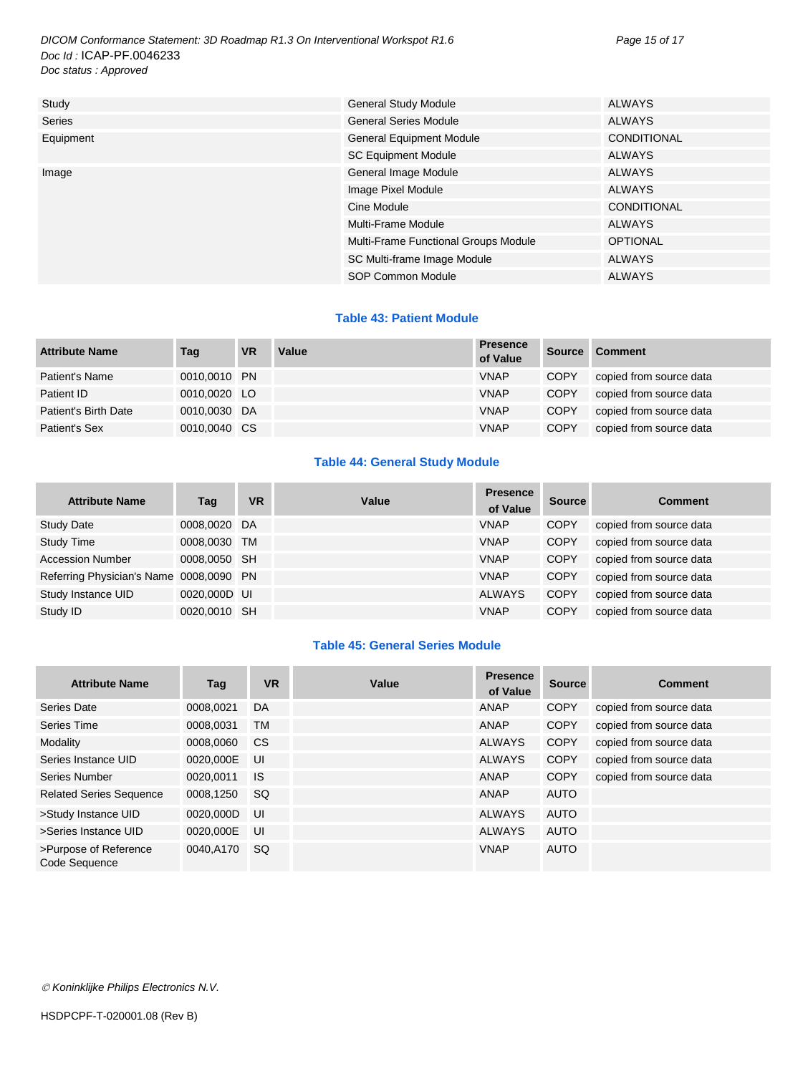*DICOM Conformance Statement: 3D Roadmap R1.3 On Interventional Workspot R1.6 Page 15 of 17 Doc Id :* ICAP-PF.0046233 *Doc status : Approved*

| Study     | <b>General Study Module</b>          | <b>ALWAYS</b>      |
|-----------|--------------------------------------|--------------------|
| Series    | <b>General Series Module</b>         | <b>ALWAYS</b>      |
| Equipment | <b>General Equipment Module</b>      | <b>CONDITIONAL</b> |
|           | <b>SC Equipment Module</b>           | <b>ALWAYS</b>      |
| Image     | General Image Module                 | <b>ALWAYS</b>      |
|           | Image Pixel Module                   | <b>ALWAYS</b>      |
|           | Cine Module                          | <b>CONDITIONAL</b> |
|           | Multi-Frame Module                   | <b>ALWAYS</b>      |
|           | Multi-Frame Functional Groups Module | <b>OPTIONAL</b>    |
|           | SC Multi-frame Image Module          | <b>ALWAYS</b>      |
|           | SOP Common Module                    | <b>ALWAYS</b>      |

#### **Table 43: Patient Module**

| <b>Attribute Name</b> | Tag          | <b>VR</b> | Value | <b>Presence</b><br>of Value | <b>Source</b> | <b>Comment</b>          |
|-----------------------|--------------|-----------|-------|-----------------------------|---------------|-------------------------|
| Patient's Name        | 0010.0010 PN |           |       | <b>VNAP</b>                 | <b>COPY</b>   | copied from source data |
| Patient ID            | 0010,0020 LO |           |       | <b>VNAP</b>                 | <b>COPY</b>   | copied from source data |
| Patient's Birth Date  | 0010.0030 DA |           |       | <b>VNAP</b>                 | <b>COPY</b>   | copied from source data |
| Patient's Sex         | 0010,0040 CS |           |       | <b>VNAP</b>                 | <b>COPY</b>   | copied from source data |

#### **Table 44: General Study Module**

| <b>Attribute Name</b>                   | Tag          | <b>VR</b> | Value | <b>Presence</b><br>of Value | Source      | <b>Comment</b>          |
|-----------------------------------------|--------------|-----------|-------|-----------------------------|-------------|-------------------------|
| <b>Study Date</b>                       | 0008,0020 DA |           |       | <b>VNAP</b>                 | <b>COPY</b> | copied from source data |
| <b>Study Time</b>                       | 0008,0030    | <b>TM</b> |       | <b>VNAP</b>                 | <b>COPY</b> | copied from source data |
| <b>Accession Number</b>                 | 0008,0050 SH |           |       | <b>VNAP</b>                 | <b>COPY</b> | copied from source data |
| Referring Physician's Name 0008,0090 PN |              |           |       | <b>VNAP</b>                 | <b>COPY</b> | copied from source data |
| Study Instance UID                      | 0020,000D UI |           |       | <b>ALWAYS</b>               | <b>COPY</b> | copied from source data |
| Study ID                                | 0020,0010 SH |           |       | <b>VNAP</b>                 | <b>COPY</b> | copied from source data |

#### **Table 45: General Series Module**

| <b>Attribute Name</b>                  | Tag       | <b>VR</b> | Value | <b>Presence</b><br>of Value | <b>Source</b> | <b>Comment</b>          |
|----------------------------------------|-----------|-----------|-------|-----------------------------|---------------|-------------------------|
| Series Date                            | 0008.0021 | DA        |       | ANAP                        | <b>COPY</b>   | copied from source data |
| Series Time                            | 0008.0031 | <b>TM</b> |       | ANAP                        | <b>COPY</b>   | copied from source data |
| Modality                               | 0008.0060 | <b>CS</b> |       | <b>ALWAYS</b>               | <b>COPY</b>   | copied from source data |
| Series Instance UID                    | 0020,000E | UI        |       | <b>ALWAYS</b>               | <b>COPY</b>   | copied from source data |
| Series Number                          | 0020.0011 | IS.       |       | ANAP                        | <b>COPY</b>   | copied from source data |
| <b>Related Series Sequence</b>         | 0008.1250 | <b>SQ</b> |       | ANAP                        | <b>AUTO</b>   |                         |
| >Study Instance UID                    | 0020,000D | UI        |       | <b>ALWAYS</b>               | <b>AUTO</b>   |                         |
| >Series Instance UID                   | 0020,000E | UI        |       | <b>ALWAYS</b>               | AUTO          |                         |
| >Purpose of Reference<br>Code Sequence | 0040,A170 | SQ        |       | <b>VNAP</b>                 | <b>AUTO</b>   |                         |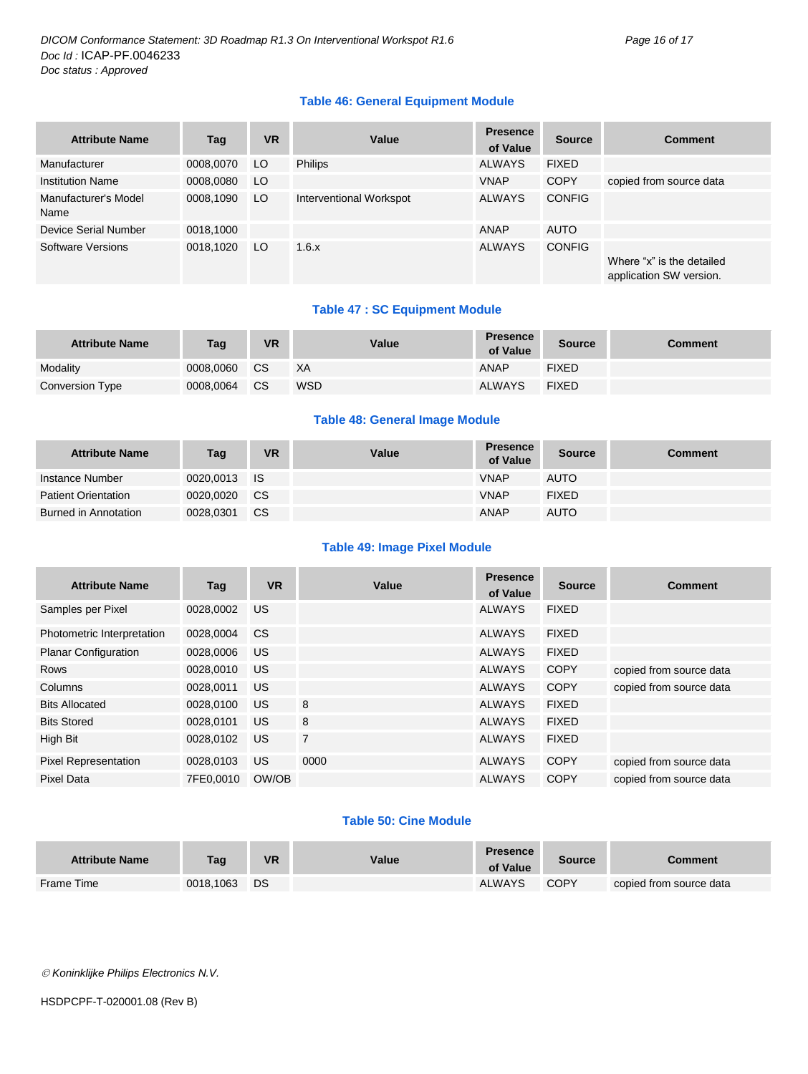#### **Table 46: General Equipment Module**

| <b>Attribute Name</b>        | Tag       | <b>VR</b> | Value                   | <b>Presence</b><br>of Value | <b>Source</b> | <b>Comment</b>                                       |
|------------------------------|-----------|-----------|-------------------------|-----------------------------|---------------|------------------------------------------------------|
| Manufacturer                 | 0008,0070 | LO.       | <b>Philips</b>          | <b>ALWAYS</b>               | <b>FIXED</b>  |                                                      |
| <b>Institution Name</b>      | 0008,0080 | LO.       |                         | <b>VNAP</b>                 | <b>COPY</b>   | copied from source data                              |
| Manufacturer's Model<br>Name | 0008,1090 | LO.       | Interventional Workspot | <b>ALWAYS</b>               | <b>CONFIG</b> |                                                      |
| Device Serial Number         | 0018,1000 |           |                         | ANAP                        | <b>AUTO</b>   |                                                      |
| Software Versions            | 0018.1020 | LO.       | 1.6.x                   | <b>ALWAYS</b>               | <b>CONFIG</b> | Where "x" is the detailed<br>application SW version. |

#### **Table 47 : SC Equipment Module**

| <b>Attribute Name</b> | Tag       | <b>VR</b> | Value      | Presence<br>of Value | <b>Source</b> | Comment |
|-----------------------|-----------|-----------|------------|----------------------|---------------|---------|
| Modality              | 0008.0060 | <b>CS</b> | ХA         | ANAP                 | <b>FIXED</b>  |         |
| Conversion Type       | 0008.0064 | <b>CS</b> | <b>WSD</b> | <b>ALWAYS</b>        | <b>FIXED</b>  |         |

#### **Table 48: General Image Module**

| <b>Attribute Name</b>      | Tag       | <b>VR</b> | Value | <b>Presence</b><br>of Value | <b>Source</b> | Comment |
|----------------------------|-----------|-----------|-------|-----------------------------|---------------|---------|
| Instance Number            | 0020.0013 | - IS      |       | <b>VNAP</b>                 | <b>AUTO</b>   |         |
| <b>Patient Orientation</b> | 0020.0020 | <b>CS</b> |       | <b>VNAP</b>                 | <b>FIXED</b>  |         |
| Burned in Annotation       | 0028.0301 | CS.       |       | <b>ANAP</b>                 | <b>AUTO</b>   |         |

#### **Table 49: Image Pixel Module**

| <b>Attribute Name</b>       | Tag       | <b>VR</b> | Value          | <b>Presence</b><br>of Value | <b>Source</b> | <b>Comment</b>          |
|-----------------------------|-----------|-----------|----------------|-----------------------------|---------------|-------------------------|
| Samples per Pixel           | 0028.0002 | US        |                | <b>ALWAYS</b>               | <b>FIXED</b>  |                         |
| Photometric Interpretation  | 0028,0004 | <b>CS</b> |                | <b>ALWAYS</b>               | <b>FIXED</b>  |                         |
| <b>Planar Configuration</b> | 0028,0006 | <b>US</b> |                | <b>ALWAYS</b>               | <b>FIXED</b>  |                         |
| <b>Rows</b>                 | 0028,0010 | US.       |                | <b>ALWAYS</b>               | <b>COPY</b>   | copied from source data |
| Columns                     | 0028.0011 | <b>US</b> |                | <b>ALWAYS</b>               | <b>COPY</b>   | copied from source data |
| <b>Bits Allocated</b>       | 0028.0100 | <b>US</b> | 8              | <b>ALWAYS</b>               | <b>FIXED</b>  |                         |
| <b>Bits Stored</b>          | 0028.0101 | US        | 8              | <b>ALWAYS</b>               | <b>FIXED</b>  |                         |
| High Bit                    | 0028.0102 | US        | $\overline{7}$ | <b>ALWAYS</b>               | <b>FIXED</b>  |                         |
| <b>Pixel Representation</b> | 0028,0103 | <b>US</b> | 0000           | <b>ALWAYS</b>               | <b>COPY</b>   | copied from source data |
| Pixel Data                  | 7FE0.0010 | OW/OB     |                | <b>ALWAYS</b>               | <b>COPY</b>   | copied from source data |

#### **Table 50: Cine Module**

| <b>Attribute Name</b> | Tag       | VR | Value | <b>Presence</b><br>of Value | Source      | Comment                 |
|-----------------------|-----------|----|-------|-----------------------------|-------------|-------------------------|
| Frame Time            | 0018,1063 | DS |       | <b>ALWAYS</b>               | <b>COPY</b> | copied from source data |

*Koninklijke Philips Electronics N.V.*